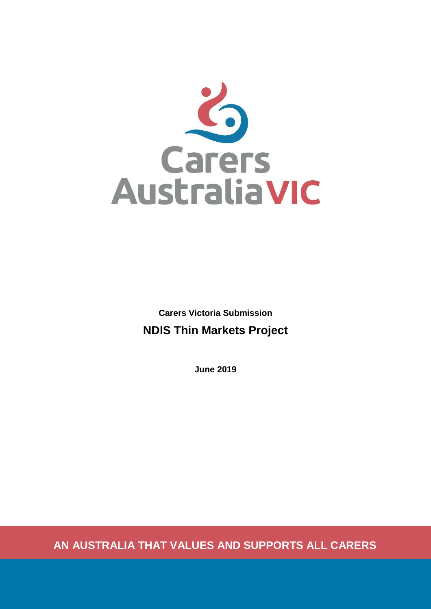

**Carers Victoria Submission NDIS Thin Markets Project**

**June 2019**

**AN AUSTRALIA THAT VALUES AND SUPPORTS ALL CARERS**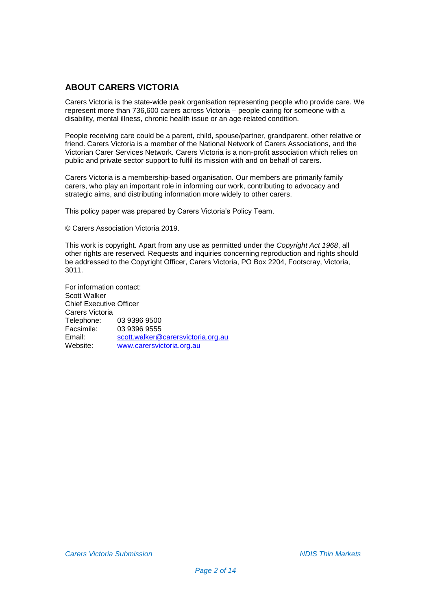# **ABOUT CARERS VICTORIA**

Carers Victoria is the state-wide peak organisation representing people who provide care. We represent more than 736,600 carers across Victoria – people caring for someone with a disability, mental illness, chronic health issue or an age-related condition.

People receiving care could be a parent, child, spouse/partner, grandparent, other relative or friend. Carers Victoria is a member of the National Network of Carers Associations, and the Victorian Carer Services Network. Carers Victoria is a non-profit association which relies on public and private sector support to fulfil its mission with and on behalf of carers.

Carers Victoria is a membership-based organisation. Our members are primarily family carers, who play an important role in informing our work, contributing to advocacy and strategic aims, and distributing information more widely to other carers.

This policy paper was prepared by Carers Victoria's Policy Team.

© Carers Association Victoria 2019.

This work is copyright. Apart from any use as permitted under the *Copyright Act 1968*, all other rights are reserved. Requests and inquiries concerning reproduction and rights should be addressed to the Copyright Officer, Carers Victoria, PO Box 2204, Footscray, Victoria, 3011.

For information contact: Scott Walker Chief Executive Officer Carers Victoria Telephone: 03 9396 9500<br>Facsimile: 03 9396 9555 Facsimile: 03 9396 9555<br>Email: scott.walker@ Email: [scott.walker@carersvictoria.org.au](mailto:scott.walker@carersvictoria.org.au)<br>Website: www.carersvictoria.org.au [www.carersvictoria.org.au](http://www.carersvictoria.org.au/)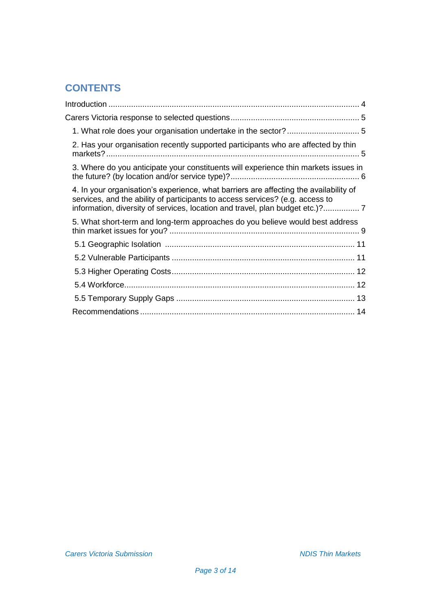# **CONTENTS**

| 1. What role does your organisation undertake in the sector?  5                                                                                                                                                                                       |  |
|-------------------------------------------------------------------------------------------------------------------------------------------------------------------------------------------------------------------------------------------------------|--|
| 2. Has your organisation recently supported participants who are affected by thin                                                                                                                                                                     |  |
| 3. Where do you anticipate your constituents will experience thin markets issues in                                                                                                                                                                   |  |
| 4. In your organisation's experience, what barriers are affecting the availability of<br>services, and the ability of participants to access services? (e.g. access to<br>information, diversity of services, location and travel, plan budget etc.)? |  |
| 5. What short-term and long-term approaches do you believe would best address                                                                                                                                                                         |  |
|                                                                                                                                                                                                                                                       |  |
|                                                                                                                                                                                                                                                       |  |
|                                                                                                                                                                                                                                                       |  |
|                                                                                                                                                                                                                                                       |  |
|                                                                                                                                                                                                                                                       |  |
|                                                                                                                                                                                                                                                       |  |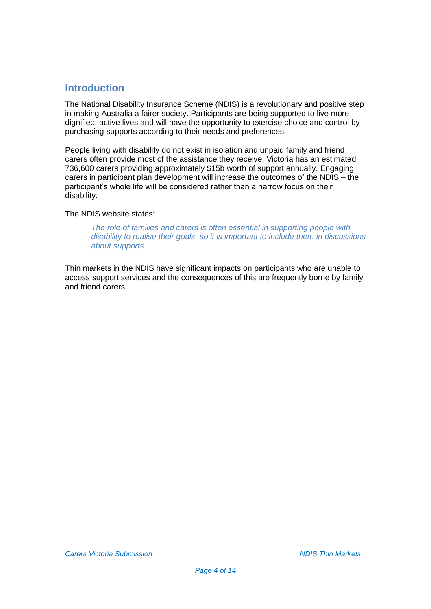# <span id="page-3-0"></span>**Introduction**

<span id="page-3-1"></span>The National Disability Insurance Scheme (NDIS) is a revolutionary and positive step in making Australia a fairer society. Participants are being supported to live more dignified, active lives and will have the opportunity to exercise choice and control by purchasing supports according to their needs and preferences.

People living with disability do not exist in isolation and unpaid family and friend carers often provide most of the assistance they receive. Victoria has an estimated 736,600 carers providing approximately \$15b worth of support annually. Engaging carers in participant plan development will increase the outcomes of the NDIS – the participant's whole life will be considered rather than a narrow focus on their disability.

The NDIS website states:

*The role of families and carers is often essential in supporting people with disability to realise their goals, so it is important to include them in discussions about supports.* 

Thin markets in the NDIS have significant impacts on participants who are unable to access support services and the consequences of this are frequently borne by family and friend carers.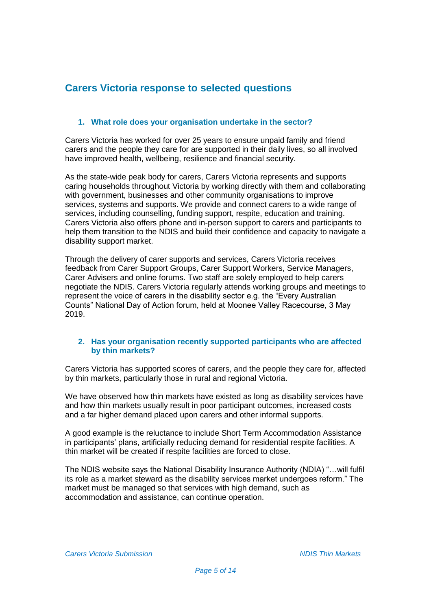# **Carers Victoria response to selected questions**

# **1. What role does your organisation undertake in the sector?**

Carers Victoria has worked for over 25 years to ensure unpaid family and friend carers and the people they care for are supported in their daily lives, so all involved have improved health, wellbeing, resilience and financial security.

As the state-wide peak body for carers, Carers Victoria represents and supports caring households throughout Victoria by working directly with them and collaborating with government, businesses and other community organisations to improve services, systems and supports. We provide and connect carers to a wide range of services, including counselling, funding support, respite, education and training. Carers Victoria also offers phone and in-person support to carers and participants to help them transition to the NDIS and build their confidence and capacity to navigate a disability support market.

Through the delivery of carer supports and services, Carers Victoria receives feedback from Carer Support Groups, Carer Support Workers, Service Managers, Carer Advisers and online forums. Two staff are solely employed to help carers negotiate the NDIS. Carers Victoria regularly attends working groups and meetings to represent the voice of carers in the disability sector e.g. the "Every Australian Counts" National Day of Action forum, held at Moonee Valley Racecourse, 3 May 2019.

### **2. Has your organisation recently supported participants who are affected by thin markets?**

Carers Victoria has supported scores of carers, and the people they care for, affected by thin markets, particularly those in rural and regional Victoria.

We have observed how thin markets have existed as long as disability services have and how thin markets usually result in poor participant outcomes, increased costs and a far higher demand placed upon carers and other informal supports.

A good example is the reluctance to include Short Term Accommodation Assistance in participants' plans, artificially reducing demand for residential respite facilities. A thin market will be created if respite facilities are forced to close.

The NDIS website says the National Disability Insurance Authority (NDIA) "…will fulfil its role as a market steward as the disability services market undergoes reform." The market must be managed so that services with high demand, such as accommodation and assistance, can continue operation.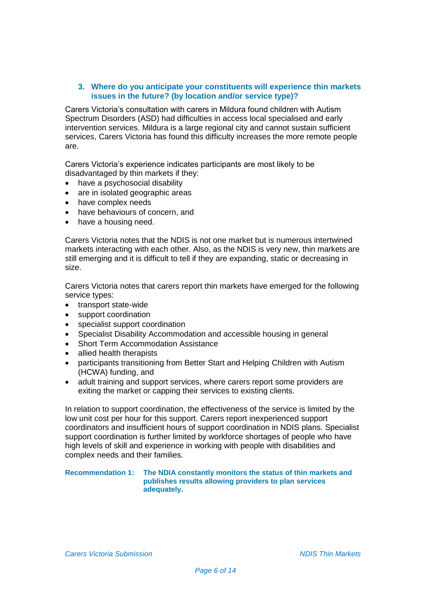## **3. Where do you anticipate your constituents will experience thin markets issues in the future? (by location and/or service type)?**

Carers Victoria's consultation with carers in Mildura found children with Autism Spectrum Disorders (ASD) had difficulties in access local specialised and early intervention services. Mildura is a large regional city and cannot sustain sufficient services, Carers Victoria has found this difficulty increases the more remote people are.

Carers Victoria's experience indicates participants are most likely to be disadvantaged by thin markets if they:

- have a psychosocial disability
- are in isolated geographic areas
- have complex needs
- have behaviours of concern, and
- have a housing need.

Carers Victoria notes that the NDIS is not one market but is numerous intertwined markets interacting with each other. Also, as the NDIS is very new, thin markets are still emerging and it is difficult to tell if they are expanding, static or decreasing in size.

Carers Victoria notes that carers report thin markets have emerged for the following service types:

- transport state-wide
- support coordination
- specialist support coordination
- Specialist Disability Accommodation and accessible housing in general
- Short Term Accommodation Assistance
- allied health therapists
- participants transitioning from Better Start and Helping Children with Autism (HCWA) funding, and
- adult training and support services, where carers report some providers are exiting the market or capping their services to existing clients.

In relation to support coordination, the effectiveness of the service is limited by the low unit cost per hour for this support. Carers report inexperienced support coordinators and insufficient hours of support coordination in NDIS plans. Specialist support coordination is further limited by workforce shortages of people who have high levels of skill and experience in working with people with disabilities and complex needs and their families.

#### **Recommendation 1: The NDIA constantly monitors the status of thin markets and publishes results allowing providers to plan services adequately.**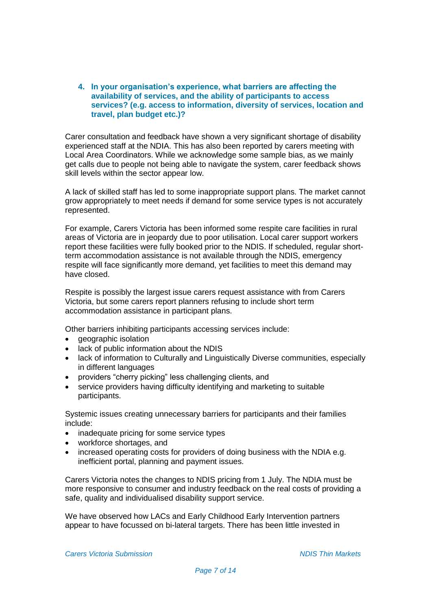**4. In your organisation's experience, what barriers are affecting the availability of services, and the ability of participants to access services? (e.g. access to information, diversity of services, location and travel, plan budget etc.)?**

Carer consultation and feedback have shown a very significant shortage of disability experienced staff at the NDIA. This has also been reported by carers meeting with Local Area Coordinators. While we acknowledge some sample bias, as we mainly get calls due to people not being able to navigate the system, carer feedback shows skill levels within the sector appear low.

A lack of skilled staff has led to some inappropriate support plans. The market cannot grow appropriately to meet needs if demand for some service types is not accurately represented.

For example, Carers Victoria has been informed some respite care facilities in rural areas of Victoria are in jeopardy due to poor utilisation. Local carer support workers report these facilities were fully booked prior to the NDIS. If scheduled, regular shortterm accommodation assistance is not available through the NDIS, emergency respite will face significantly more demand, yet facilities to meet this demand may have closed.

Respite is possibly the largest issue carers request assistance with from Carers Victoria, but some carers report planners refusing to include short term accommodation assistance in participant plans.

Other barriers inhibiting participants accessing services include:

- geographic isolation
- lack of public information about the NDIS
- lack of information to Culturally and Linguistically Diverse communities, especially in different languages
- providers "cherry picking" less challenging clients, and
- service providers having difficulty identifying and marketing to suitable participants.

Systemic issues creating unnecessary barriers for participants and their families include:

- inadequate pricing for some service types
- workforce shortages, and
- increased operating costs for providers of doing business with the NDIA e.g. inefficient portal, planning and payment issues.

Carers Victoria notes the changes to NDIS pricing from 1 July. The NDIA must be more responsive to consumer and industry feedback on the real costs of providing a safe, quality and individualised disability support service.

We have observed how LACs and Early Childhood Early Intervention partners appear to have focussed on bi-lateral targets. There has been little invested in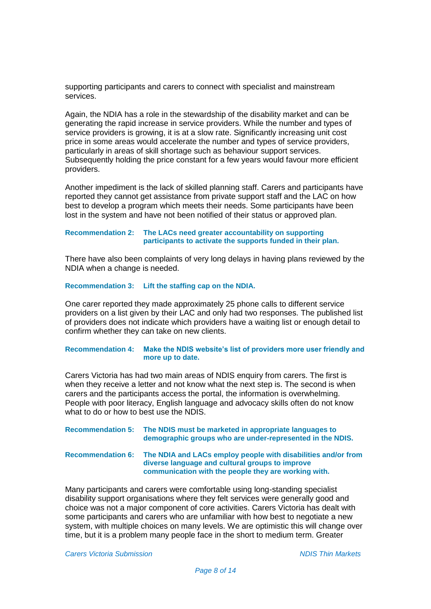supporting participants and carers to connect with specialist and mainstream services.

Again, the NDIA has a role in the stewardship of the disability market and can be generating the rapid increase in service providers. While the number and types of service providers is growing, it is at a slow rate. Significantly increasing unit cost price in some areas would accelerate the number and types of service providers, particularly in areas of skill shortage such as behaviour support services. Subsequently holding the price constant for a few years would favour more efficient providers.

Another impediment is the lack of skilled planning staff. Carers and participants have reported they cannot get assistance from private support staff and the LAC on how best to develop a program which meets their needs. Some participants have been lost in the system and have not been notified of their status or approved plan.

#### **Recommendation 2: The LACs need greater accountability on supporting participants to activate the supports funded in their plan.**

There have also been complaints of very long delays in having plans reviewed by the NDIA when a change is needed.

#### **Recommendation 3: Lift the staffing cap on the NDIA.**

One carer reported they made approximately 25 phone calls to different service providers on a list given by their LAC and only had two responses. The published list of providers does not indicate which providers have a waiting list or enough detail to confirm whether they can take on new clients.

#### **Recommendation 4: Make the NDIS website's list of providers more user friendly and more up to date.**

Carers Victoria has had two main areas of NDIS enquiry from carers. The first is when they receive a letter and not know what the next step is. The second is when carers and the participants access the portal, the information is overwhelming. People with poor literacy, English language and advocacy skills often do not know what to do or how to best use the NDIS.

| Recommendation 5: The NDIS must be marketed in appropriate languages to<br>demographic groups who are under-represented in the NDIS.                                                       |
|--------------------------------------------------------------------------------------------------------------------------------------------------------------------------------------------|
| Recommendation 6: The NDIA and LACs employ people with disabilities and/or from<br>diverse language and cultural groups to improve<br>communication with the people they are working with. |

Many participants and carers were comfortable using long-standing specialist disability support organisations where they felt services were generally good and choice was not a major component of core activities. Carers Victoria has dealt with some participants and carers who are unfamiliar with how best to negotiate a new system, with multiple choices on many levels. We are optimistic this will change over time, but it is a problem many people face in the short to medium term. Greater

*Carers Victoria Submission NDIS Thin Markets*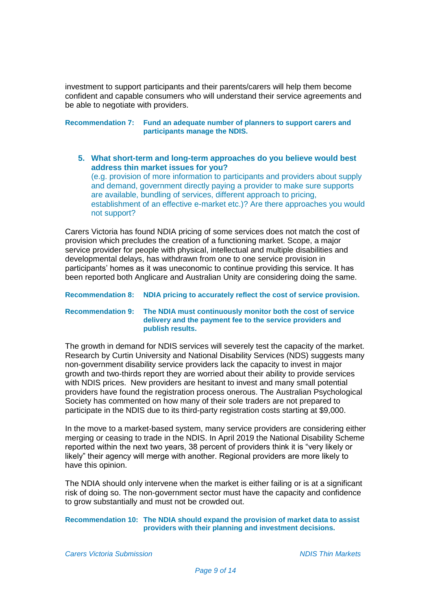investment to support participants and their parents/carers will help them become confident and capable consumers who will understand their service agreements and be able to negotiate with providers.

**Recommendation 7: Fund an adequate number of planners to support carers and participants manage the NDIS.**

**5. What short-term and long-term approaches do you believe would best address thin market issues for you?**

(e.g. provision of more information to participants and providers about supply and demand, government directly paying a provider to make sure supports are available, bundling of services, different approach to pricing, establishment of an effective e-market etc.)? Are there approaches you would not support?

Carers Victoria has found NDIA pricing of some services does not match the cost of provision which precludes the creation of a functioning market. Scope, a major service provider for people with physical, intellectual and multiple disabilities and developmental delays, has withdrawn from one to one service provision in participants' homes as it was uneconomic to continue providing this service. It has been reported both Anglicare and Australian Unity are considering doing the same.

# **Recommendation 8: NDIA pricing to accurately reflect the cost of service provision.**

#### **Recommendation 9: The NDIA must continuously monitor both the cost of service delivery and the payment fee to the service providers and publish results.**

The growth in demand for NDIS services will severely test the capacity of the market. Research by Curtin University and National Disability Services (NDS) suggests many non-government disability service providers lack the capacity to invest in major growth and two-thirds report they are worried about their ability to provide services with NDIS prices. New providers are hesitant to invest and many small potential providers have found the registration process onerous. The Australian Psychological Society has commented on how many of their sole traders are not prepared to participate in the NDIS due to its third-party registration costs starting at \$9,000.

In the move to a market-based system, many service providers are considering either merging or ceasing to trade in the NDIS. In April 2019 the National Disability Scheme reported within the next two years, 38 percent of providers think it is "very likely or likely" their agency will merge with another. Regional providers are more likely to have this opinion.

The NDIA should only intervene when the market is either failing or is at a significant risk of doing so. The non-government sector must have the capacity and confidence to grow substantially and must not be crowded out.

#### **Recommendation 10: The NDIA should expand the provision of market data to assist providers with their planning and investment decisions.**

*Carers Victoria Submission NDIS Thin Markets*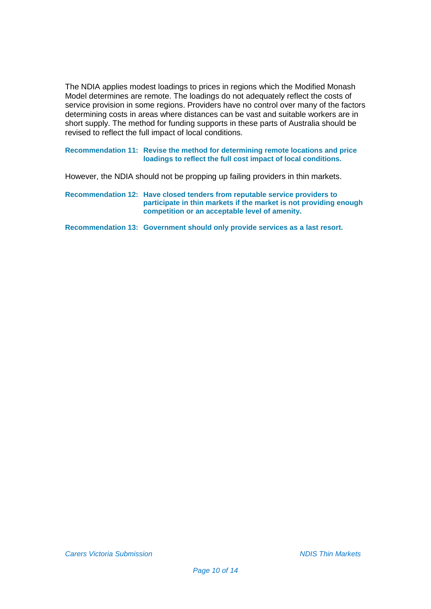The NDIA applies modest loadings to prices in regions which the Modified Monash Model determines are remote. The loadings do not adequately reflect the costs of service provision in some regions. Providers have no control over many of the factors determining costs in areas where distances can be vast and suitable workers are in short supply. The method for funding supports in these parts of Australia should be revised to reflect the full impact of local conditions.

**Recommendation 11: Revise the method for determining remote locations and price loadings to reflect the full cost impact of local conditions.**

However, the NDIA should not be propping up failing providers in thin markets.

**Recommendation 12: Have closed tenders from reputable service providers to participate in thin markets if the market is not providing enough competition or an acceptable level of amenity.** 

**Recommendation 13: Government should only provide services as a last resort.**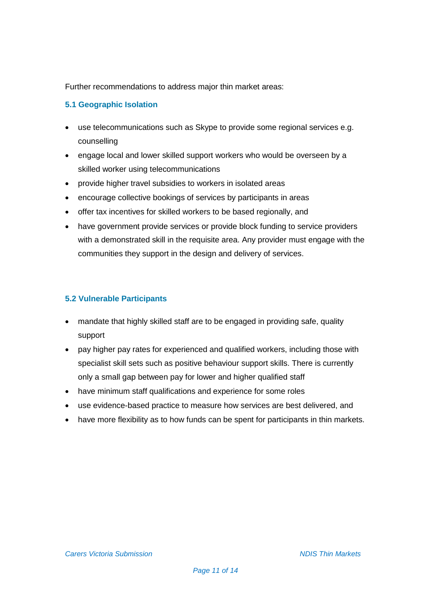Further recommendations to address major thin market areas:

# **5.1 Geographic Isolation**

- use telecommunications such as Skype to provide some regional services e.g. counselling
- engage local and lower skilled support workers who would be overseen by a skilled worker using telecommunications
- provide higher travel subsidies to workers in isolated areas
- encourage collective bookings of services by participants in areas
- offer tax incentives for skilled workers to be based regionally, and
- have government provide services or provide block funding to service providers with a demonstrated skill in the requisite area. Any provider must engage with the communities they support in the design and delivery of services.

# **5.2 Vulnerable Participants**

- mandate that highly skilled staff are to be engaged in providing safe, quality support
- pay higher pay rates for experienced and qualified workers, including those with specialist skill sets such as positive behaviour support skills. There is currently only a small gap between pay for lower and higher qualified staff
- have minimum staff qualifications and experience for some roles
- use evidence-based practice to measure how services are best delivered, and
- have more flexibility as to how funds can be spent for participants in thin markets.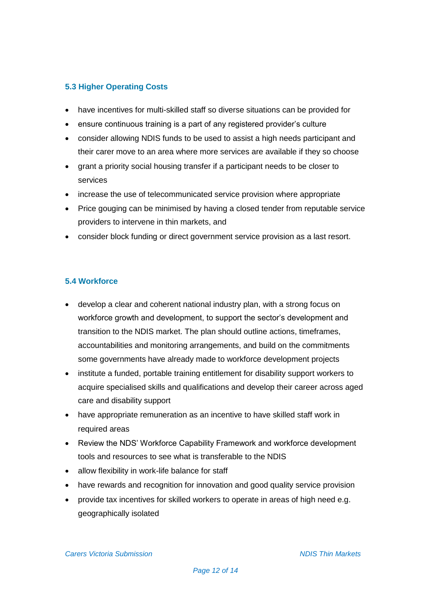# **5.3 Higher Operating Costs**

- have incentives for multi-skilled staff so diverse situations can be provided for
- ensure continuous training is a part of any registered provider's culture
- consider allowing NDIS funds to be used to assist a high needs participant and their carer move to an area where more services are available if they so choose
- grant a priority social housing transfer if a participant needs to be closer to services
- increase the use of telecommunicated service provision where appropriate
- Price gouging can be minimised by having a closed tender from reputable service providers to intervene in thin markets, and
- consider block funding or direct government service provision as a last resort.

# **5.4 Workforce**

- develop a clear and coherent national industry plan, with a strong focus on workforce growth and development, to support the sector's development and transition to the NDIS market. The plan should outline actions, timeframes, accountabilities and monitoring arrangements, and build on the commitments some governments have already made to workforce development projects
- institute a funded, portable training entitlement for disability support workers to acquire specialised skills and qualifications and develop their career across aged care and disability support
- have appropriate remuneration as an incentive to have skilled staff work in required areas
- Review the NDS' Workforce Capability Framework and workforce development tools and resources to see what is transferable to the NDIS
- allow flexibility in work-life balance for staff
- have rewards and recognition for innovation and good quality service provision
- provide tax incentives for skilled workers to operate in areas of high need e.g. geographically isolated

*Carers Victoria Submission NDIS Thin Markets*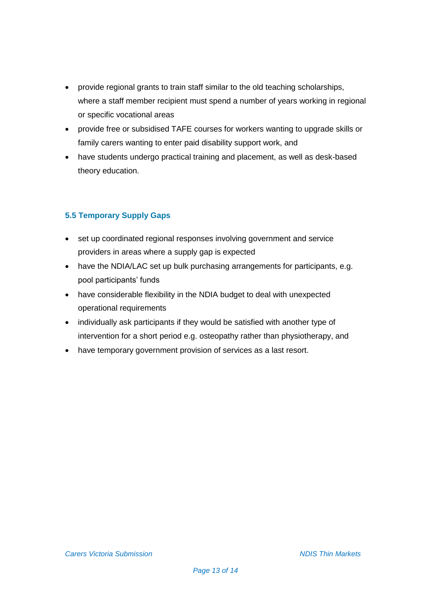- provide regional grants to train staff similar to the old teaching scholarships, where a staff member recipient must spend a number of years working in regional or specific vocational areas
- provide free or subsidised TAFE courses for workers wanting to upgrade skills or family carers wanting to enter paid disability support work, and
- have students undergo practical training and placement, as well as desk-based theory education.

# **5.5 Temporary Supply Gaps**

- set up coordinated regional responses involving government and service providers in areas where a supply gap is expected
- have the NDIA/LAC set up bulk purchasing arrangements for participants, e.g. pool participants' funds
- have considerable flexibility in the NDIA budget to deal with unexpected operational requirements
- individually ask participants if they would be satisfied with another type of intervention for a short period e.g. osteopathy rather than physiotherapy, and
- have temporary government provision of services as a last resort.